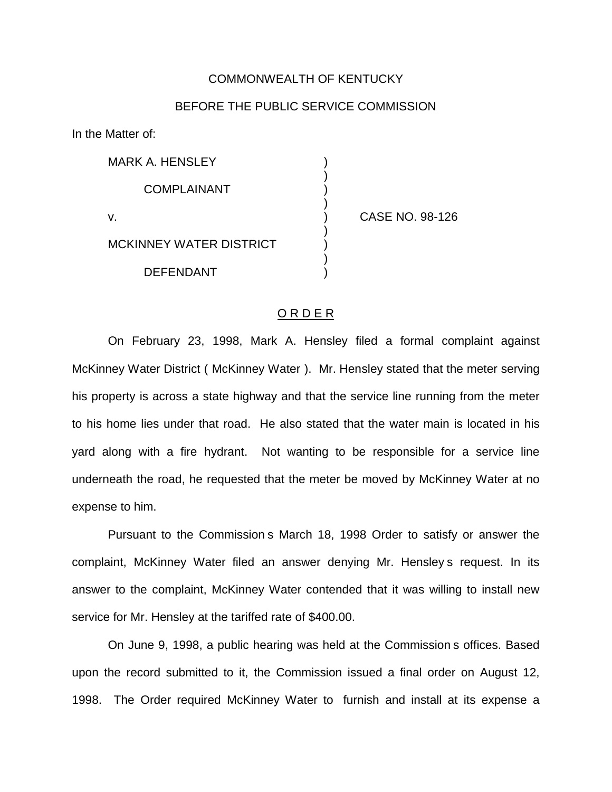## COMMONWEALTH OF KENTUCKY

## BEFORE THE PUBLIC SERVICE COMMISSION

In the Matter of:

| <b>MARK A. HENSLEY</b>  |  |
|-------------------------|--|
| <b>COMPLAINANT</b>      |  |
| v.                      |  |
| MCKINNEY WATER DISTRICT |  |
| DEFENDANT               |  |

CASE NO. 98-126

## O R D E R

On February 23, 1998, Mark A. Hensley filed a formal complaint against McKinney Water District ( McKinney Water ). Mr. Hensley stated that the meter serving his property is across a state highway and that the service line running from the meter to his home lies under that road. He also stated that the water main is located in his yard along with a fire hydrant. Not wanting to be responsible for a service line underneath the road, he requested that the meter be moved by McKinney Water at no expense to him.

Pursuant to the Commission s March 18, 1998 Order to satisfy or answer the complaint, McKinney Water filed an answer denying Mr. Hensley s request. In its answer to the complaint, McKinney Water contended that it was willing to install new service for Mr. Hensley at the tariffed rate of \$400.00.

On June 9, 1998, a public hearing was held at the Commission s offices. Based upon the record submitted to it, the Commission issued a final order on August 12, 1998. The Order required McKinney Water to furnish and install at its expense a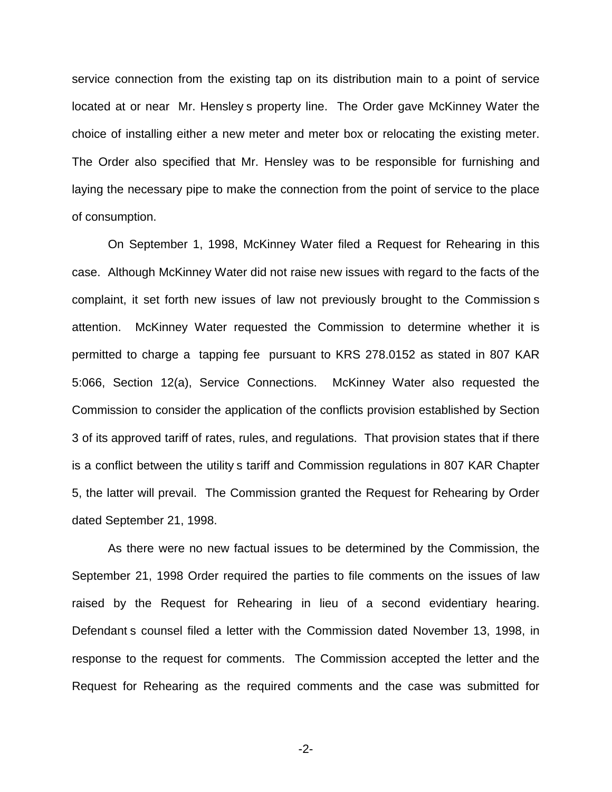service connection from the existing tap on its distribution main to a point of service located at or near Mr. Hensley s property line. The Order gave McKinney Water the choice of installing either a new meter and meter box or relocating the existing meter. The Order also specified that Mr. Hensley was to be responsible for furnishing and laying the necessary pipe to make the connection from the point of service to the place of consumption.

On September 1, 1998, McKinney Water filed a Request for Rehearing in this case. Although McKinney Water did not raise new issues with regard to the facts of the complaint, it set forth new issues of law not previously brought to the Commission s attention. McKinney Water requested the Commission to determine whether it is permitted to charge a tapping fee pursuant to KRS 278.0152 as stated in 807 KAR 5:066, Section 12(a), Service Connections. McKinney Water also requested the Commission to consider the application of the conflicts provision established by Section 3 of its approved tariff of rates, rules, and regulations. That provision states that if there is a conflict between the utility s tariff and Commission regulations in 807 KAR Chapter 5, the latter will prevail. The Commission granted the Request for Rehearing by Order dated September 21, 1998.

As there were no new factual issues to be determined by the Commission, the September 21, 1998 Order required the parties to file comments on the issues of law raised by the Request for Rehearing in lieu of a second evidentiary hearing. Defendant s counsel filed a letter with the Commission dated November 13, 1998, in response to the request for comments. The Commission accepted the letter and the Request for Rehearing as the required comments and the case was submitted for

-2-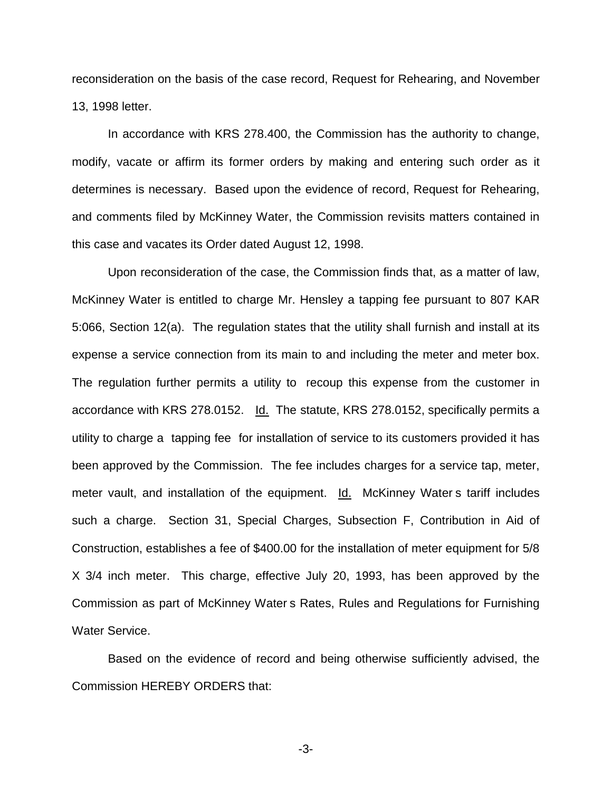reconsideration on the basis of the case record, Request for Rehearing, and November 13, 1998 letter.

In accordance with KRS 278.400, the Commission has the authority to change, modify, vacate or affirm its former orders by making and entering such order as it determines is necessary. Based upon the evidence of record, Request for Rehearing, and comments filed by McKinney Water, the Commission revisits matters contained in this case and vacates its Order dated August 12, 1998.

Upon reconsideration of the case, the Commission finds that, as a matter of law, McKinney Water is entitled to charge Mr. Hensley a tapping fee pursuant to 807 KAR 5:066, Section 12(a). The regulation states that the utility shall furnish and install at its expense a service connection from its main to and including the meter and meter box. The regulation further permits a utility to recoup this expense from the customer in accordance with KRS 278.0152. Id. The statute, KRS 278.0152, specifically permits a utility to charge a tapping fee for installation of service to its customers provided it has been approved by the Commission. The fee includes charges for a service tap, meter, meter vault, and installation of the equipment. Id. McKinney Water s tariff includes such a charge. Section 31, Special Charges, Subsection F, Contribution in Aid of Construction, establishes a fee of \$400.00 for the installation of meter equipment for 5/8 X 3/4 inch meter. This charge, effective July 20, 1993, has been approved by the Commission as part of McKinney Water s Rates, Rules and Regulations for Furnishing Water Service.

Based on the evidence of record and being otherwise sufficiently advised, the Commission HEREBY ORDERS that:

-3-